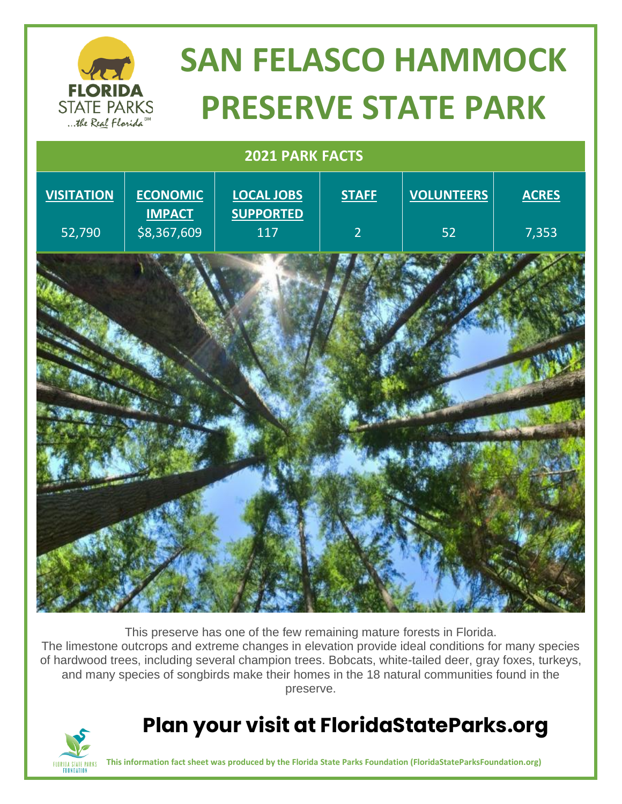

# **SAN FELASCO HAMMOCK PRESERVE STATE PARK**

### **2021 PARK FACTS**



This preserve has one of the few remaining mature forests in Florida. The limestone outcrops and extreme changes in elevation provide ideal conditions for many species of hardwood trees, including several champion trees. Bobcats, white-tailed deer, gray foxes, turkeys, and many species of songbirds make their homes in the 18 natural communities found in the preserve.

### **Plan your visit at FloridaStateParks.org**



**This information fact sheet was produced by the Florida State Parks Foundation (FloridaStateParksFoundation.org)**